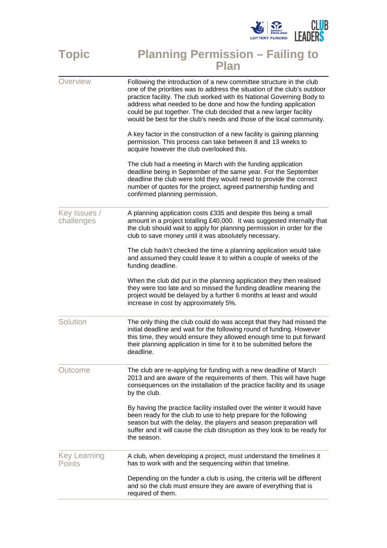

## **Topic Planning Permission – Failing to**

|                               | <b>Plan</b>                                                                                                                                                                                                                                                                                                                                                                                                                               |
|-------------------------------|-------------------------------------------------------------------------------------------------------------------------------------------------------------------------------------------------------------------------------------------------------------------------------------------------------------------------------------------------------------------------------------------------------------------------------------------|
| Overview                      | Following the introduction of a new committee structure in the club<br>one of the priorities was to address the situation of the club's outdoor<br>practice facility. The club worked with its National Governing Body to<br>address what needed to be done and how the funding application<br>could be put together. The club decided that a new larger facility<br>would be best for the club's needs and those of the local community. |
|                               | A key factor in the construction of a new facility is gaining planning<br>permission. This process can take between 8 and 13 weeks to<br>acquire however the club overlooked this.                                                                                                                                                                                                                                                        |
|                               | The club had a meeting in March with the funding application<br>deadline being in September of the same year. For the September<br>deadline the club were told they would need to provide the correct<br>number of quotes for the project, agreed partnership funding and<br>confirmed planning permission.                                                                                                                               |
| Key Issues /<br>challenges    | A planning application costs £335 and despite this being a small<br>amount in a project totalling £40,000. It was suggested internally that<br>the club should wait to apply for planning permission in order for the<br>club to save money until it was absolutely necessary.                                                                                                                                                            |
|                               | The club hadn't checked the time a planning application would take<br>and assumed they could leave it to within a couple of weeks of the<br>funding deadline.                                                                                                                                                                                                                                                                             |
|                               | When the club did put in the planning application they then realised<br>they were too late and so missed the funding deadline meaning the<br>project would be delayed by a further 6 months at least and would<br>increase in cost by approximately 5%.                                                                                                                                                                                   |
| Solution                      | The only thing the club could do was accept that they had missed the<br>initial deadline and wait for the following round of funding. However<br>this time, they would ensure they allowed enough time to put forward<br>their planning application in time for it to be submitted before the<br>deadline.                                                                                                                                |
| Outcome                       | The club are re-applying for funding with a new deadline of March<br>2013 and are aware of the requirements of them. This will have huge<br>consequences on the installation of the practice facility and its usage<br>by the club.                                                                                                                                                                                                       |
|                               | By having the practice facility installed over the winter it would have<br>been ready for the club to use to help prepare for the following<br>season but with the delay, the players and season preparation will<br>suffer and it will cause the club disruption as they look to be ready for<br>the season.                                                                                                                             |
| <b>Key Learning</b><br>Points | A club, when developing a project, must understand the timelines it<br>has to work with and the sequencing within that timeline.                                                                                                                                                                                                                                                                                                          |
|                               | Depending on the funder a club is using, the criteria will be different<br>and so the club must ensure they are aware of everything that is<br>required of them.                                                                                                                                                                                                                                                                          |